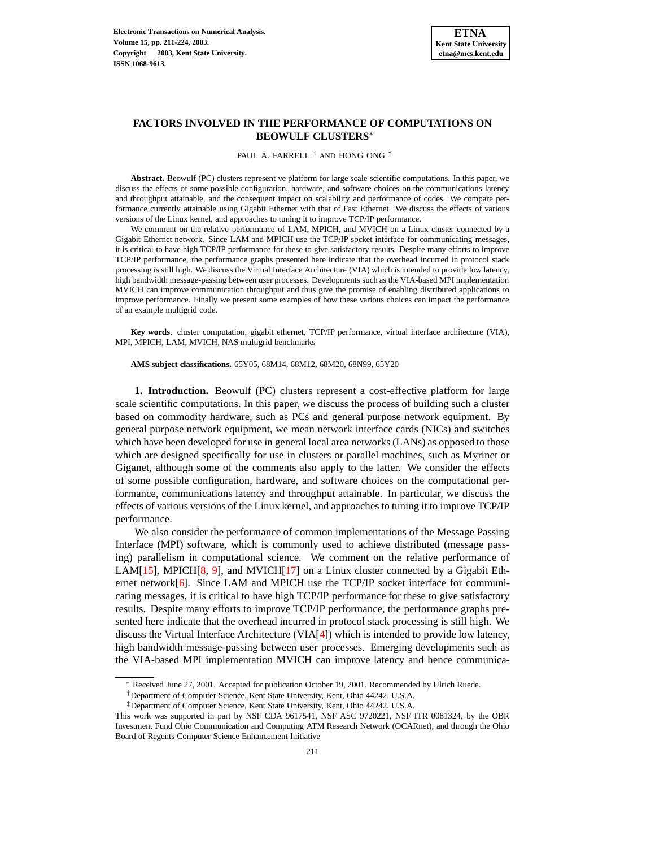

# **FACTORS INVOLVED IN THE PERFORMANCE OF COMPUTATIONS ON BEOWULF CLUSTERS**<sup>∗</sup>

PAUL A. FARRELL † AND HONG ONG ‡

**Abstract.** Beowulf (PC) clusters represent ve platform for large scale scientific computations. In this paper, we discuss the effects of some possible configuration, hardware, and software choices on the communications latency and throughput attainable, and the consequent impact on scalability and performance of codes. We compare performance currently attainable using Gigabit Ethernet with that of Fast Ethernet. We discuss the effects of various versions of the Linux kernel, and approaches to tuning it to improve TCP/IP performance.

We comment on the relative performance of LAM, MPICH, and MVICH on a Linux cluster connected by a Gigabit Ethernet network. Since LAM and MPICH use the TCP/IP socket interface for communicating messages, it is critical to have high TCP/IP performance for these to give satisfactory results. Despite many efforts to improve TCP/IP performance, the performance graphs presented here indicate that the overhead incurred in protocol stack processing is still high. We discuss the Virtual Interface Architecture (VIA) which is intended to provide low latency, high bandwidth message-passing between user processes. Developments such as the VIA-based MPI implementation MVICH can improve communication throughput and thus give the promise of enabling distributed applications to improve performance. Finally we present some examples of how these various choices can impact the performance of an example multigrid code.

**Key words.** cluster computation, gigabit ethernet, TCP/IP performance, virtual interface architecture (VIA), MPI, MPICH, LAM, MVICH, NAS multigrid benchmarks

**AMS subject classifications.** 65Y05, 68M14, 68M12, 68M20, 68N99, 65Y20

**1. Introduction.** Beowulf (PC) clusters represent a cost-effective platform for large scale scientific computations. In this paper, we discuss the process of building such a cluster based on commodity hardware, such as PCs and general purpose network equipment. By general purpose network equipment, we mean network interface cards (NICs) and switches which have been developed for use in general local area networks (LANs) as opposed to those which are designed specifically for use in clusters or parallel machines, such as Myrinet or Giganet, although some of the comments also apply to the latter. We consider the effects of some possible configuration, hardware, and software choices on the computational performance, communications latency and throughput attainable. In particular, we discuss the effects of various versions of the Linux kernel, and approaches to tuning it to improve TCP/IP performance.

We also consider the performance of common implementations of the Message Passing Interface (MPI) software, which is commonly used to achieve distributed (message passing) parallelism in computational science. We comment on the relative performance of LAM[\[15\]](#page-13-0), MPICH[\[8,](#page-13-1) [9\]](#page-13-2), and MVICH[\[17\]](#page-13-3) on a Linux cluster connected by a Gigabit Ethernet network[\[6\]](#page-13-4). Since LAM and MPICH use the TCP/IP socket interface for communicating messages, it is critical to have high TCP/IP performance for these to give satisfactory results. Despite many efforts to improve TCP/IP performance, the performance graphs presented here indicate that the overhead incurred in protocol stack processing is still high. We discuss the Virtual Interface Architecture (VIA[\[4\]](#page-13-5)) which is intended to provide low latency, high bandwidth message-passing between user processes. Emerging developments such as the VIA-based MPI implementation MVICH can improve latency and hence communica-

<sup>∗</sup> Received June 27, 2001. Accepted for publication October 19, 2001. Recommended by Ulrich Ruede.

<sup>†</sup>Department of Computer Science, Kent State University, Kent, Ohio 44242, U.S.A.

<sup>‡</sup>Department of Computer Science, Kent State University, Kent, Ohio 44242, U.S.A.

This work was supported in part by NSF CDA 9617541, NSF ASC 9720221, NSF ITR 0081324, by the OBR Investment Fund Ohio Communication and Computing ATM Research Network (OCARnet), and through the Ohio Board of Regents Computer Science Enhancement Initiative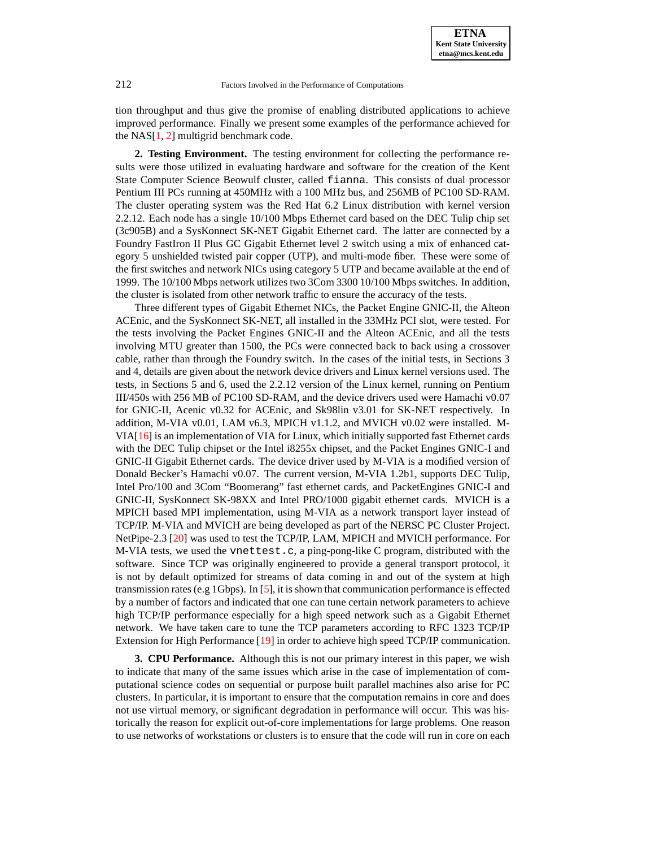

tion throughput and thus give the promise of enabling distributed applications to achieve improved performance. Finally we present some examples of the performance achieved for the  $NAS[1, 2]$  $NAS[1, 2]$  $NAS[1, 2]$  $NAS[1, 2]$  multigrid benchmark code.

**2. Testing Environment.** The testing environment for collecting the performance results were those utilized in evaluating hardware and software for the creation of the Kent State Computer Science Beowulf cluster, called fianna. This consists of dual processor Pentium III PCs running at 450MHz with a 100 MHz bus, and 256MB of PC100 SD-RAM. The cluster operating system was the Red Hat 6.2 Linux distribution with kernel version 2.2.12. Each node has a single 10/100 Mbps Ethernet card based on the DEC Tulip chip set (3c905B) and a SysKonnect SK-NET Gigabit Ethernet card. The latter are connected by a Foundry FastIron II Plus GC Gigabit Ethernet level 2 switch using a mix of enhanced category 5 unshielded twisted pair copper (UTP), and multi-mode fiber. These were some of the first switches and network NICs using category 5 UTP and became available at the end of 1999. The 10/100 Mbps network utilizes two 3Com 3300 10/100 Mbps switches. In addition, the cluster is isolated from other network traffic to ensure the accuracy of the tests.

Three different types of Gigabit Ethernet NICs, the Packet Engine GNIC-II, the Alteon ACEnic, and the SysKonnect SK-NET, all installed in the 33MHz PCI slot, were tested. For the tests involving the Packet Engines GNIC-II and the Alteon ACEnic, and all the tests involving MTU greater than 1500, the PCs were connected back to back using a crossover cable, rather than through the Foundry switch. In the cases of the initial tests, in Sections 3 and 4, details are given about the network device drivers and Linux kernel versions used. The tests, in Sections 5 and 6, used the 2.2.12 version of the Linux kernel, running on Pentium III/450s with 256 MB of PC100 SD-RAM, and the device drivers used were Hamachi v0.07 for GNIC-II, Acenic v0.32 for ACEnic, and Sk98lin v3.01 for SK-NET respectively. In addition, M-VIA v0.01, LAM v6.3, MPICH v1.1.2, and MVICH v0.02 were installed. M-VIA[\[16\]](#page-13-8) is an implementation of VIA for Linux, which initially supported fast Ethernet cards with the DEC Tulip chipset or the Intel i8255x chipset, and the Packet Engines GNIC-I and GNIC-II Gigabit Ethernet cards. The device driver used by M-VIA is a modified version of Donald Becker's Hamachi v0.07. The current version, M-VIA 1.2b1, supports DEC Tulip, Intel Pro/100 and 3Com "Boomerang" fast ethernet cards, and PacketEngines GNIC-I and GNIC-II, SysKonnect SK-98XX and Intel PRO/1000 gigabit ethernet cards. MVICH is a MPICH based MPI implementation, using M-VIA as a network transport layer instead of TCP/IP. M-VIA and MVICH are being developed as part of the NERSC PC Cluster Project. NetPipe-2.3 [\[20\]](#page-13-9) was used to test the TCP/IP, LAM, MPICH and MVICH performance. For M-VIA tests, we used the vnettest.c, a ping-pong-like C program, distributed with the software. Since TCP was originally engineered to provide a general transport protocol, it is not by default optimized for streams of data coming in and out of the system at high transmission rates (e.g 1Gbps). In [\[5\]](#page-13-10), it is shown that communication performance is effected by a number of factors and indicated that one can tune certain network parameters to achieve high TCP/IP performance especially for a high speed network such as a Gigabit Ethernet network. We have taken care to tune the TCP parameters according to RFC 1323 TCP/IP Extension for High Performance [\[19\]](#page-13-11) in order to achieve high speed TCP/IP communication.

**3. CPU Performance.** Although this is not our primary interest in this paper, we wish to indicate that many of the same issues which arise in the case of implementation of computational science codes on sequential or purpose built parallel machines also arise for PC clusters. In particular, it is important to ensure that the computation remains in core and does not use virtual memory, or significant degradation in performance will occur. This was historically the reason for explicit out-of-core implementations for large problems. One reason to use networks of workstations or clusters is to ensure that the code will run in core on each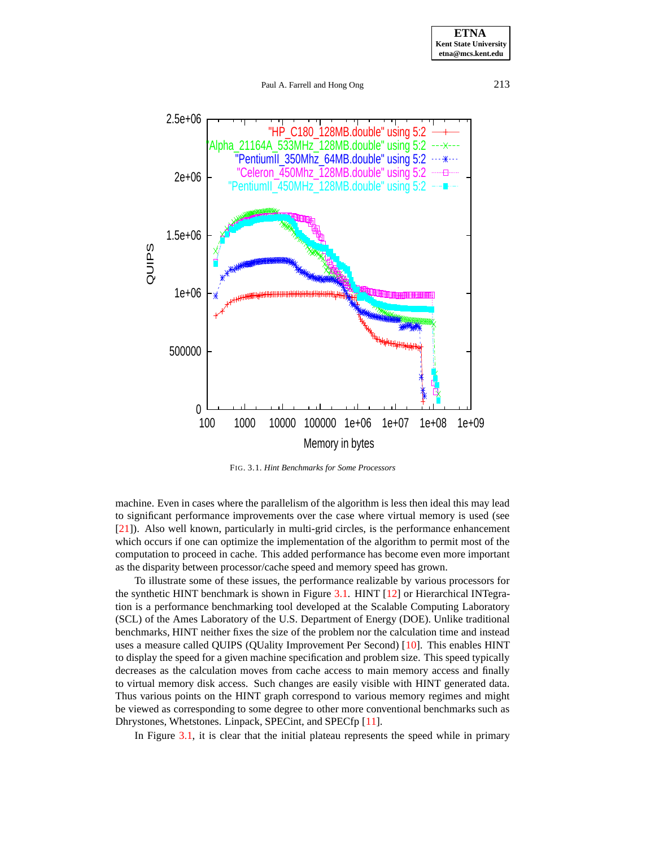**ETNA Kent State University etna@mcs.kent.edu**

Paul A. Farrell and Hong Ong 213



FIG. 3.1. *Hint Benchmarks for Some Processors*

machine. Even in cases where the parallelism of the algorithm is less then ideal this may lead to significant performance improvements over the case where virtual memory is used (see [\[21\]](#page-13-12)). Also well known, particularly in multi-grid circles, is the performance enhancement which occurs if one can optimize the implementation of the algorithm to permit most of the computation to proceed in cache. This added performance has become even more important as the disparity between processor/cache speed and memory speed has grown.

To illustrate some of these issues, the performance realizable by various processors for the synthetic HINT benchmark is shown in Figure [3.1.](#page-10-0) HINT [\[12\]](#page-13-13) or Hierarchical INTegration is a performance benchmarking tool developed at the Scalable Computing Laboratory (SCL) of the Ames Laboratory of the U.S. Department of Energy (DOE). Unlike traditional benchmarks, HINT neither fixes the size of the problem nor the calculation time and instead uses a measure called QUIPS (QUality Improvement Per Second) [\[10\]](#page-13-14). This enables HINT to display the speed for a given machine specification and problem size. This speed typically decreases as the calculation moves from cache access to main memory access and finally to virtual memory disk access. Such changes are easily visible with HINT generated data. Thus various points on the HINT graph correspond to various memory regimes and might be viewed as corresponding to some degree to other more conventional benchmarks such as Dhrystones, Whetstones. Linpack, SPECint, and SPECfp [\[11\]](#page-13-15).

In Figure [3.1,](#page-10-0) it is clear that the initial plateau represents the speed while in primary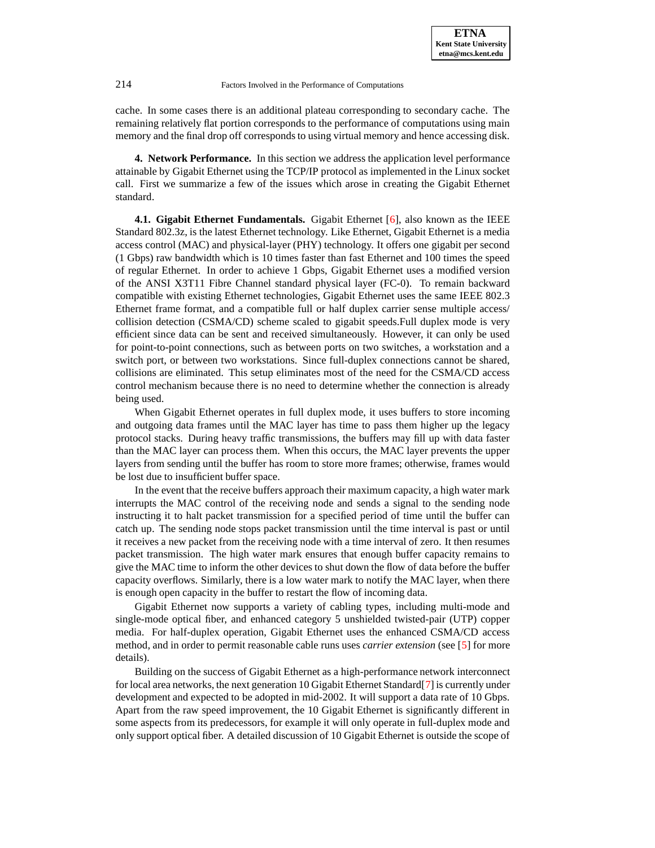cache. In some cases there is an additional plateau corresponding to secondary cache. The remaining relatively flat portion corresponds to the performance of computations using main memory and the final drop off corresponds to using virtual memory and hence accessing disk.

**4. Network Performance.** In this section we address the application level performance attainable by Gigabit Ethernet using the TCP/IP protocol as implemented in the Linux socket call. First we summarize a few of the issues which arose in creating the Gigabit Ethernet standard.

**4.1. Gigabit Ethernet Fundamentals.** Gigabit Ethernet [\[6\]](#page-13-4), also known as the IEEE Standard 802.3z, is the latest Ethernet technology. Like Ethernet, Gigabit Ethernet is a media access control (MAC) and physical-layer (PHY) technology. It offers one gigabit per second (1 Gbps) raw bandwidth which is 10 times faster than fast Ethernet and 100 times the speed of regular Ethernet. In order to achieve 1 Gbps, Gigabit Ethernet uses a modified version of the ANSI X3T11 Fibre Channel standard physical layer (FC-0). To remain backward compatible with existing Ethernet technologies, Gigabit Ethernet uses the same IEEE 802.3 Ethernet frame format, and a compatible full or half duplex carrier sense multiple access/ collision detection (CSMA/CD) scheme scaled to gigabit speeds.Full duplex mode is very efficient since data can be sent and received simultaneously. However, it can only be used for point-to-point connections, such as between ports on two switches, a workstation and a switch port, or between two workstations. Since full-duplex connections cannot be shared, collisions are eliminated. This setup eliminates most of the need for the CSMA/CD access control mechanism because there is no need to determine whether the connection is already being used.

When Gigabit Ethernet operates in full duplex mode, it uses buffers to store incoming and outgoing data frames until the MAC layer has time to pass them higher up the legacy protocol stacks. During heavy traffic transmissions, the buffers may fill up with data faster than the MAC layer can process them. When this occurs, the MAC layer prevents the upper layers from sending until the buffer has room to store more frames; otherwise, frames would be lost due to insufficient buffer space.

In the event that the receive buffers approach their maximum capacity, a high water mark interrupts the MAC control of the receiving node and sends a signal to the sending node instructing it to halt packet transmission for a specified period of time until the buffer can catch up. The sending node stops packet transmission until the time interval is past or until it receives a new packet from the receiving node with a time interval of zero. It then resumes packet transmission. The high water mark ensures that enough buffer capacity remains to give the MAC time to inform the other devices to shut down the flow of data before the buffer capacity overflows. Similarly, there is a low water mark to notify the MAC layer, when there is enough open capacity in the buffer to restart the flow of incoming data.

Gigabit Ethernet now supports a variety of cabling types, including multi-mode and single-mode optical fiber, and enhanced category 5 unshielded twisted-pair (UTP) copper media. For half-duplex operation, Gigabit Ethernet uses the enhanced CSMA/CD access method, and in order to permit reasonable cable runs uses *carrier extension* (see [\[5\]](#page-13-10) for more details).

Building on the success of Gigabit Ethernet as a high-performance network interconnect for local area networks, the next generation 10 Gigabit Ethernet Standard[\[7\]](#page-13-16) is currently under development and expected to be adopted in mid-2002. It will support a data rate of 10 Gbps. Apart from the raw speed improvement, the 10 Gigabit Ethernet is significantly different in some aspects from its predecessors, for example it will only operate in full-duplex mode and only support optical fiber. A detailed discussion of 10 Gigabit Ethernet is outside the scope of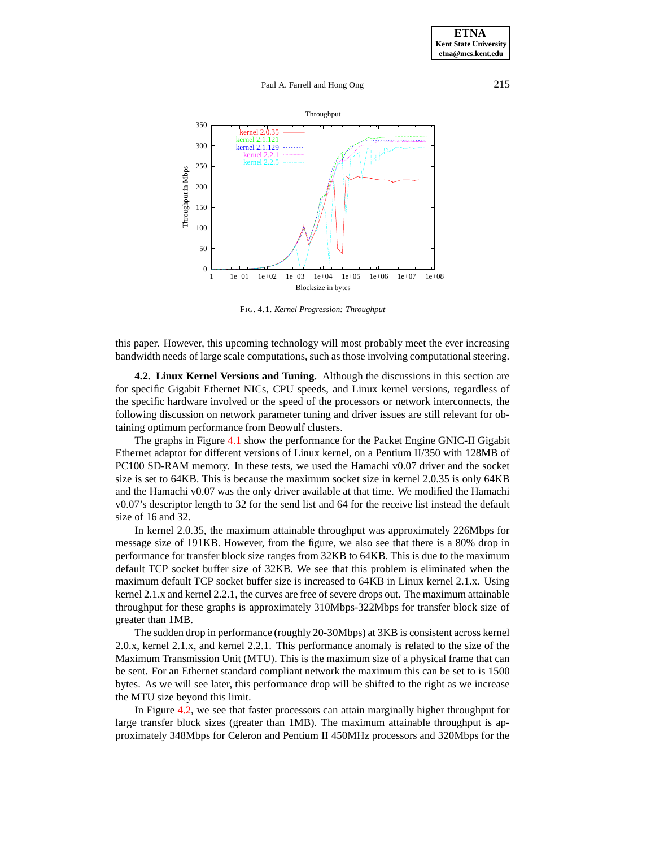

FIG. 4.1. *Kernel Progression: Throughput*

this paper. However, this upcoming technology will most probably meet the ever increasing bandwidth needs of large scale computations, such as those involving computational steering.

**4.2. Linux Kernel Versions and Tuning.** Although the discussions in this section are for specific Gigabit Ethernet NICs, CPU speeds, and Linux kernel versions, regardless of the specific hardware involved or the speed of the processors or network interconnects, the following discussion on network parameter tuning and driver issues are still relevant for obtaining optimum performance from Beowulf clusters.

The graphs in Figure [4.1](#page-10-0) show the performance for the Packet Engine GNIC-II Gigabit Ethernet adaptor for different versions of Linux kernel, on a Pentium II/350 with 128MB of PC100 SD-RAM memory. In these tests, we used the Hamachi v0.07 driver and the socket size is set to 64KB. This is because the maximum socket size in kernel 2.0.35 is only 64KB and the Hamachi v0.07 was the only driver available at that time. We modified the Hamachi v0.07's descriptor length to 32 for the send list and 64 for the receive list instead the default size of 16 and 32.

In kernel 2.0.35, the maximum attainable throughput was approximately 226Mbps for message size of 191KB. However, from the figure, we also see that there is a 80% drop in performance for transfer block size ranges from 32KB to 64KB. This is due to the maximum default TCP socket buffer size of 32KB. We see that this problem is eliminated when the maximum default TCP socket buffer size is increased to 64KB in Linux kernel 2.1.x. Using kernel 2.1.x and kernel 2.2.1, the curves are free of severe drops out. The maximum attainable throughput for these graphs is approximately 310Mbps-322Mbps for transfer block size of greater than 1MB.

The sudden drop in performance (roughly 20-30Mbps) at 3KB is consistent across kernel 2.0.x, kernel 2.1.x, and kernel 2.2.1. This performance anomaly is related to the size of the Maximum Transmission Unit (MTU). This is the maximum size of a physical frame that can be sent. For an Ethernet standard compliant network the maximum this can be set to is 1500 bytes. As we will see later, this performance drop will be shifted to the right as we increase the MTU size beyond this limit.

In Figure [4.2,](#page-10-1) we see that faster processors can attain marginally higher throughput for large transfer block sizes (greater than 1MB). The maximum attainable throughput is approximately 348Mbps for Celeron and Pentium II 450MHz processors and 320Mbps for the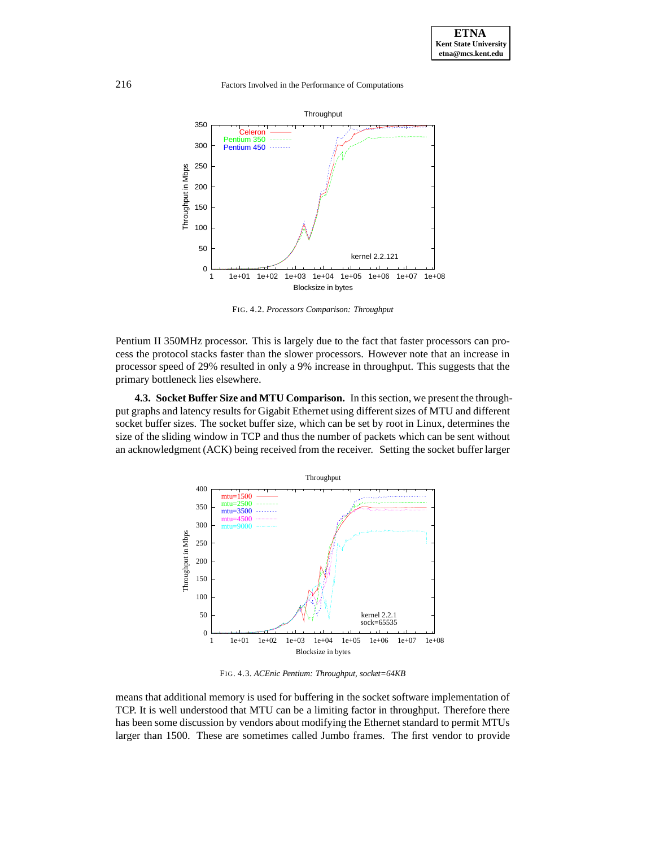216 Factors Involved in the Performance of Computations



FIG. 4.2. *Processors Comparison: Throughput*

Pentium II 350MHz processor. This is largely due to the fact that faster processors can process the protocol stacks faster than the slower processors. However note that an increase in processor speed of 29% resulted in only a 9% increase in throughput. This suggests that the primary bottleneck lies elsewhere.

**4.3. Socket Buffer Size and MTU Comparison.** In thissection, we present the throughput graphs and latency results for Gigabit Ethernet using different sizes of MTU and different socket buffer sizes. The socket buffer size, which can be set by root in Linux, determines the size of the sliding window in TCP and thus the number of packets which can be sent without an acknowledgment (ACK) being received from the receiver. Setting the socket buffer larger



FIG. 4.3. *ACEnic Pentium: Throughput, socket=64KB*

means that additional memory is used for buffering in the socket software implementation of TCP. It is well understood that MTU can be a limiting factor in throughput. Therefore there has been some discussion by vendors about modifying the Ethernet standard to permit MTUs larger than 1500. These are sometimes called Jumbo frames. The first vendor to provide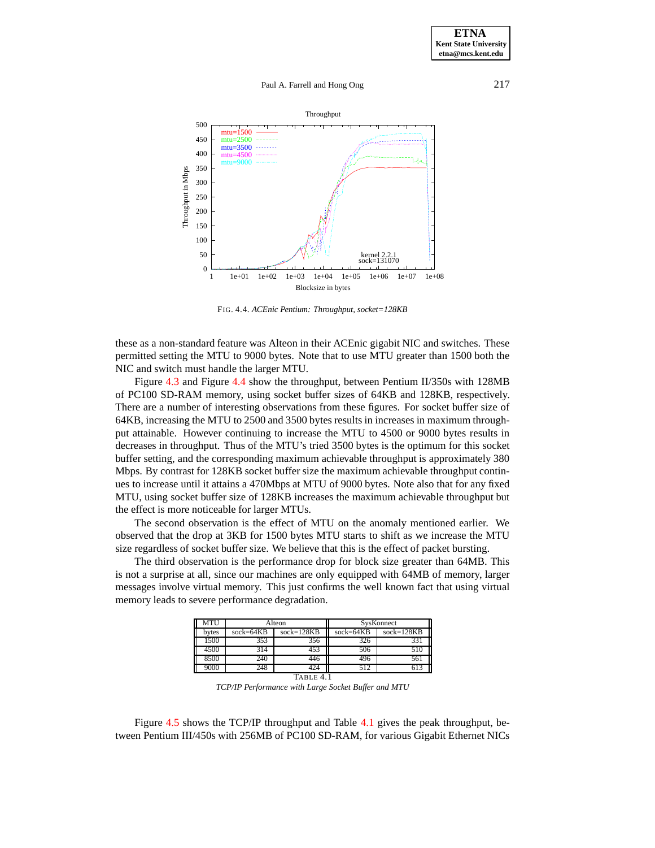

<span id="page-6-0"></span>FIG. 4.4. *ACEnic Pentium: Throughput, socket=128KB*

these as a non-standard feature was Alteon in their ACEnic gigabit NIC and switches. These permitted setting the MTU to 9000 bytes. Note that to use MTU greater than 1500 both the NIC and switch must handle the larger MTU.

Figure [4.3](#page-11-0) and Figure [4.4](#page-6-0) show the throughput, between Pentium II/350s with 128MB of PC100 SD-RAM memory, using socket buffer sizes of 64KB and 128KB, respectively. There are a number of interesting observations from these figures. For socket buffer size of 64KB, increasing the MTU to 2500 and 3500 bytes results in increases in maximum throughput attainable. However continuing to increase the MTU to 4500 or 9000 bytes results in decreases in throughput. Thus of the MTU's tried 3500 bytes is the optimum for this socket buffer setting, and the corresponding maximum achievable throughput is approximately 380 Mbps. By contrast for 128KB socket buffer size the maximum achievable throughput continues to increase until it attains a 470Mbps at MTU of 9000 bytes. Note also that for any fixed MTU, using socket buffer size of 128KB increases the maximum achievable throughput but the effect is more noticeable for larger MTUs.

The second observation is the effect of MTU on the anomaly mentioned earlier. We observed that the drop at 3KB for 1500 bytes MTU starts to shift as we increase the MTU size regardless of socket buffer size. We believe that this is the effect of packet bursting.

The third observation is the performance drop for block size greater than 64MB. This is not a surprise at all, since our machines are only equipped with 64MB of memory, larger messages involve virtual memory. This just confirms the well known fact that using virtual memory leads to severe performance degradation.

| <b>MTU</b> |             | Alteon       | SysKonnect  |              |  |  |  |
|------------|-------------|--------------|-------------|--------------|--|--|--|
| bytes      | $sock=64KB$ | $sock=128KB$ | $sock=64KB$ | $sock=128KB$ |  |  |  |
| 1500       | 353         | 356          | 326         | 331          |  |  |  |
| 4500       | 314         | 453          | 506         | 510          |  |  |  |
| 8500       | 240         | 446          | 496         | 561          |  |  |  |
| 9000       | 248         | 424          | 512         | 613          |  |  |  |
| TABLE 4.1  |             |              |             |              |  |  |  |

*TCP/IP Performance with Large Socket Buffer and MTU*

Figure [4.5](#page-7-0) shows the TCP/IP throughput and Table [4.1](#page-12-0) gives the peak throughput, between Pentium III/450s with 256MB of PC100 SD-RAM, for various Gigabit Ethernet NICs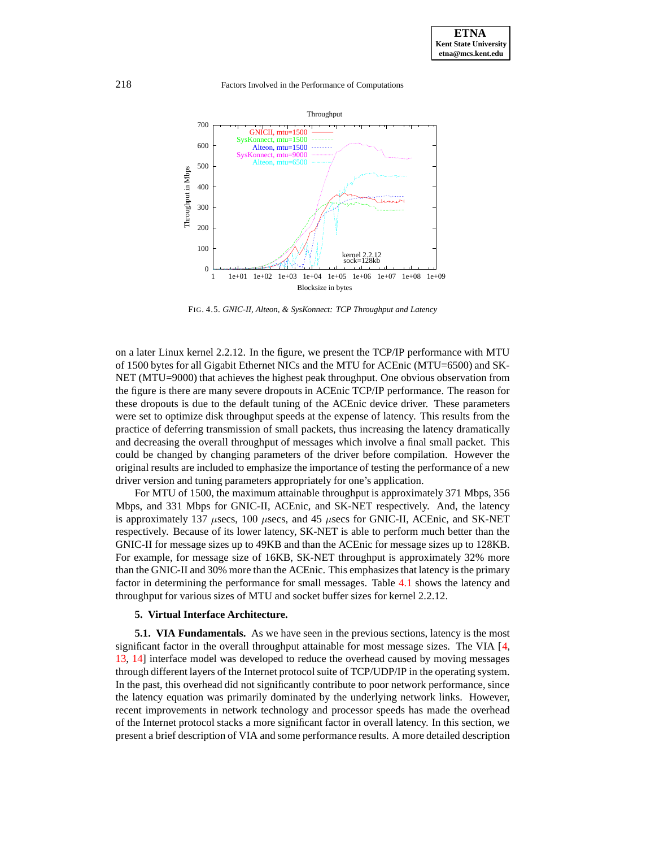

<span id="page-7-0"></span>FIG. 4.5. *GNIC-II, Alteon, & SysKonnect: TCP Throughput and Latency*

on a later Linux kernel 2.2.12. In the figure, we present the TCP/IP performance with MTU of 1500 bytes for all Gigabit Ethernet NICs and the MTU for ACEnic (MTU=6500) and SK-NET (MTU=9000) that achieves the highest peak throughput. One obvious observation from the figure is there are many severe dropouts in ACEnic TCP/IP performance. The reason for these dropouts is due to the default tuning of the ACEnic device driver. These parameters were set to optimize disk throughput speeds at the expense of latency. This results from the practice of deferring transmission of small packets, thus increasing the latency dramatically and decreasing the overall throughput of messages which involve a final small packet. This could be changed by changing parameters of the driver before compilation. However the original results are included to emphasize the importance of testing the performance of a new driver version and tuning parameters appropriately for one's application.

For MTU of 1500, the maximum attainable throughput is approximately 371 Mbps, 356 Mbps, and 331 Mbps for GNIC-II, ACEnic, and SK-NET respectively. And, the latency is approximately 137  $\mu$ secs, 100  $\mu$ secs, and 45  $\mu$ secs for GNIC-II, ACEnic, and SK-NET respectively. Because of its lower latency, SK-NET is able to perform much better than the GNIC-II for message sizes up to 49KB and than the ACEnic for message sizes up to 128KB. For example, for message size of 16KB, SK-NET throughput is approximately 32% more than the GNIC-II and 30% more than the ACEnic. This emphasizesthat latency is the primary factor in determining the performance for small messages. Table [4.1](#page-12-0) shows the latency and throughput for various sizes of MTU and socket buffer sizes for kernel 2.2.12.

#### **5. Virtual Interface Architecture.**

**5.1. VIA Fundamentals.** As we have seen in the previous sections, latency is the most significant factor in the overall throughput attainable for most message sizes. The VIA [\[4,](#page-13-5) [13,](#page-13-17) [14\]](#page-13-18) interface model was developed to reduce the overhead caused by moving messages through different layers of the Internet protocol suite of TCP/UDP/IP in the operating system. In the past, this overhead did not significantly contribute to poor network performance, since the latency equation was primarily dominated by the underlying network links. However, recent improvements in network technology and processor speeds has made the overhead of the Internet protocol stacks a more significant factor in overall latency. In this section, we present a brief description of VIA and some performance results. A more detailed description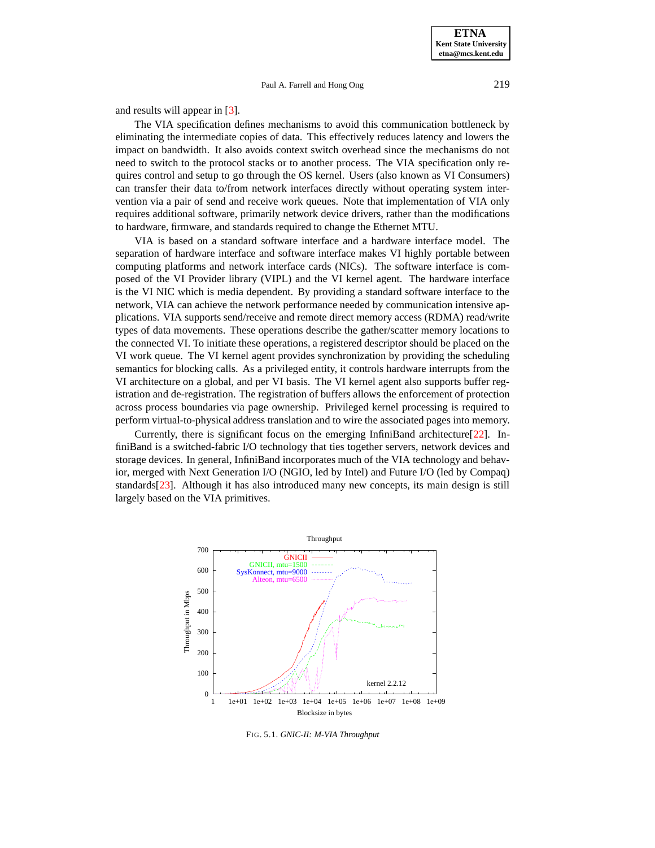and results will appear in [\[3\]](#page-13-19).

The VIA specification defines mechanisms to avoid this communication bottleneck by eliminating the intermediate copies of data. This effectively reduces latency and lowers the impact on bandwidth. It also avoids context switch overhead since the mechanisms do not need to switch to the protocol stacks or to another process. The VIA specification only requires control and setup to go through the OS kernel. Users (also known as VI Consumers) can transfer their data to/from network interfaces directly without operating system intervention via a pair of send and receive work queues. Note that implementation of VIA only requires additional software, primarily network device drivers, rather than the modifications to hardware, firmware, and standards required to change the Ethernet MTU.

VIA is based on a standard software interface and a hardware interface model. The separation of hardware interface and software interface makes VI highly portable between computing platforms and network interface cards (NICs). The software interface is composed of the VI Provider library (VIPL) and the VI kernel agent. The hardware interface is the VI NIC which is media dependent. By providing a standard software interface to the network, VIA can achieve the network performance needed by communication intensive applications. VIA supports send/receive and remote direct memory access (RDMA) read/write types of data movements. These operations describe the gather/scatter memory locations to the connected VI. To initiate these operations, a registered descriptor should be placed on the VI work queue. The VI kernel agent provides synchronization by providing the scheduling semantics for blocking calls. As a privileged entity, it controls hardware interrupts from the VI architecture on a global, and per VI basis. The VI kernel agent also supports buffer registration and de-registration. The registration of buffers allows the enforcement of protection across process boundaries via page ownership. Privileged kernel processing is required to perform virtual-to-physical address translation and to wire the associated pages into memory.

Currently, there is significant focus on the emerging InfiniBand architecture[\[22\]](#page-13-20). InfiniBand is a switched-fabric I/O technology that ties together servers, network devices and storage devices. In general, InfiniBand incorporates much of the VIA technology and behavior, merged with Next Generation I/O (NGIO, led by Intel) and Future I/O (led by Compaq) standards[\[23\]](#page-13-21). Although it has also introduced many new concepts, its main design is still largely based on the VIA primitives.



FIG. 5.1. *GNIC-II: M-VIA Throughput*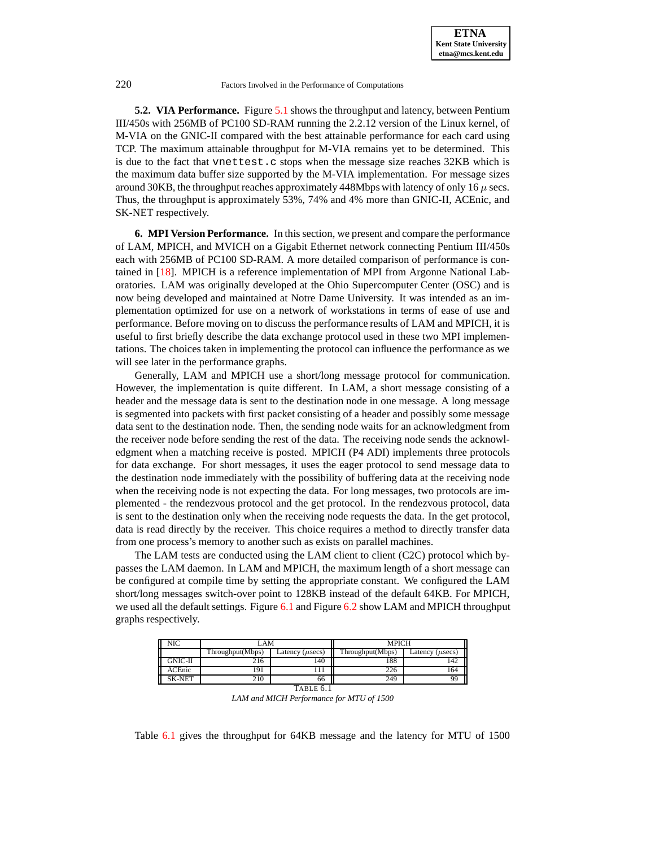**5.2. VIA Performance.** Figure [5.1](#page-10-0) shows the throughput and latency, between Pentium III/450s with 256MB of PC100 SD-RAM running the 2.2.12 version of the Linux kernel, of M-VIA on the GNIC-II compared with the best attainable performance for each card using TCP. The maximum attainable throughput for M-VIA remains yet to be determined. This is due to the fact that vnettest.c stops when the message size reaches 32KB which is the maximum data buffer size supported by the M-VIA implementation. For message sizes around 30KB, the throughput reaches approximately 448Mbps with latency of only 16  $\mu$  secs. Thus, the throughput is approximately 53%, 74% and 4% more than GNIC-II, ACEnic, and SK-NET respectively.

**6. MPI Version Performance.** In this section, we present and compare the performance of LAM, MPICH, and MVICH on a Gigabit Ethernet network connecting Pentium III/450s each with 256MB of PC100 SD-RAM. A more detailed comparison of performance is contained in [\[18\]](#page-13-22). MPICH is a reference implementation of MPI from Argonne National Laboratories. LAM was originally developed at the Ohio Supercomputer Center (OSC) and is now being developed and maintained at Notre Dame University. It was intended as an implementation optimized for use on a network of workstations in terms of ease of use and performance. Before moving on to discuss the performance results of LAM and MPICH, it is useful to first briefly describe the data exchange protocol used in these two MPI implementations. The choices taken in implementing the protocol can influence the performance as we will see later in the performance graphs.

Generally, LAM and MPICH use a short/long message protocol for communication. However, the implementation is quite different. In LAM, a short message consisting of a header and the message data is sent to the destination node in one message. A long message is segmented into packets with first packet consisting of a header and possibly some message data sent to the destination node. Then, the sending node waits for an acknowledgment from the receiver node before sending the rest of the data. The receiving node sends the acknowledgment when a matching receive is posted. MPICH (P4 ADI) implements three protocols for data exchange. For short messages, it uses the eager protocol to send message data to the destination node immediately with the possibility of buffering data at the receiving node when the receiving node is not expecting the data. For long messages, two protocols are implemented - the rendezvous protocol and the get protocol. In the rendezvous protocol, data is sent to the destination only when the receiving node requests the data. In the get protocol, data is read directly by the receiver. This choice requires a method to directly transfer data from one process's memory to another such as exists on parallel machines.

The LAM tests are conducted using the LAM client to client (C2C) protocol which bypasses the LAM daemon. In LAM and MPICH, the maximum length of a short message can be configured at compile time by setting the appropriate constant. We configured the LAM short/long messages switch-over point to 128KB instead of the default 64KB. For MPICH, we used all the default settings. Figure [6.1](#page-10-0) and Figure [6.2](#page-10-1) show LAM and MPICH throughput graphs respectively.



*LAM and MICH Performance for MTU of 1500*

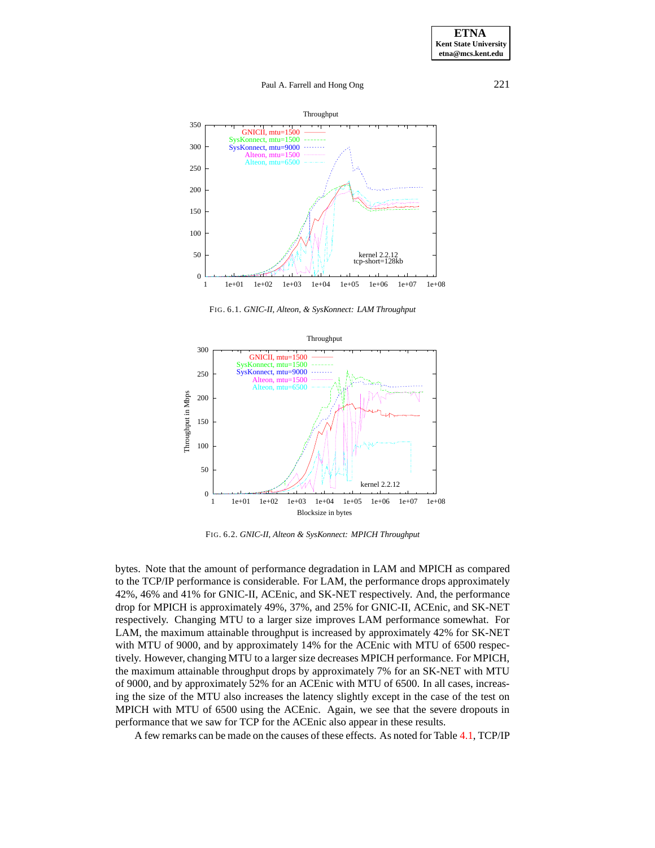

FIG. 6.1. *GNIC-II, Alteon, & SysKonnect: LAM Throughput*

<span id="page-10-0"></span>

<span id="page-10-1"></span>FIG. 6.2. *GNIC-II, Alteon & SysKonnect: MPICH Throughput*

bytes. Note that the amount of performance degradation in LAM and MPICH as compared to the TCP/IP performance is considerable. For LAM, the performance drops approximately 42%, 46% and 41% for GNIC-II, ACEnic, and SK-NET respectively. And, the performance drop for MPICH is approximately 49%, 37%, and 25% for GNIC-II, ACEnic, and SK-NET respectively. Changing MTU to a larger size improves LAM performance somewhat. For LAM, the maximum attainable throughput is increased by approximately 42% for SK-NET with MTU of 9000, and by approximately 14% for the ACEnic with MTU of 6500 respectively. However, changing MTU to a larger size decreases MPICH performance. For MPICH, the maximum attainable throughput drops by approximately 7% for an SK-NET with MTU of 9000, and by approximately 52% for an ACEnic with MTU of 6500. In all cases, increasing the size of the MTU also increases the latency slightly except in the case of the test on MPICH with MTU of 6500 using the ACEnic. Again, we see that the severe dropouts in performance that we saw for TCP for the ACEnic also appear in these results.

A few remarks can be made on the causes of these effects. As noted for Table [4.1,](#page-12-0) TCP/IP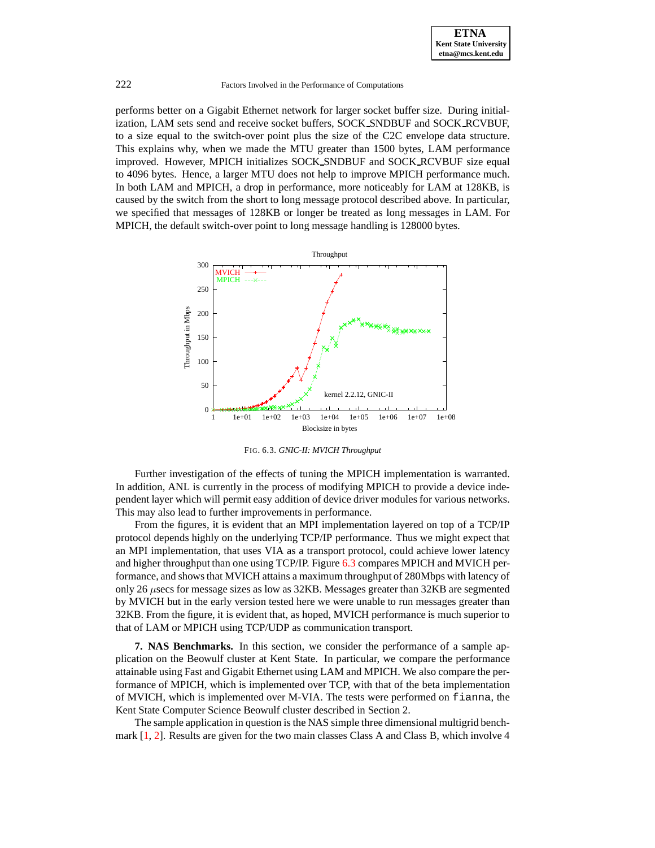

performs better on a Gigabit Ethernet network for larger socket buffer size. During initialization, LAM sets send and receive socket buffers, SOCK SNDBUF and SOCK RCVBUF, to a size equal to the switch-over point plus the size of the C2C envelope data structure. This explains why, when we made the MTU greater than 1500 bytes, LAM performance improved. However, MPICH initializes SOCK SNDBUF and SOCK RCVBUF size equal to 4096 bytes. Hence, a larger MTU does not help to improve MPICH performance much. In both LAM and MPICH, a drop in performance, more noticeably for LAM at 128KB, is caused by the switch from the short to long message protocol described above. In particular, we specified that messages of 128KB or longer be treated as long messages in LAM. For MPICH, the default switch-over point to long message handling is 128000 bytes.



<span id="page-11-0"></span>FIG. 6.3. *GNIC-II: MVICH Throughput*

Further investigation of the effects of tuning the MPICH implementation is warranted. In addition, ANL is currently in the process of modifying MPICH to provide a device independent layer which will permit easy addition of device driver modules for various networks. This may also lead to further improvements in performance.

From the figures, it is evident that an MPI implementation layered on top of a TCP/IP protocol depends highly on the underlying TCP/IP performance. Thus we might expect that an MPI implementation, that uses VIA as a transport protocol, could achieve lower latency and higher throughput than one using TCP/IP. Figure [6.3](#page-11-0) compares MPICH and MVICH performance, and shows that MVICH attains a maximum throughput of 280Mbps with latency of only 26 µsecs for message sizes as low as 32KB. Messages greater than 32KB are segmented by MVICH but in the early version tested here we were unable to run messages greater than 32KB. From the figure, it is evident that, as hoped, MVICH performance is much superior to that of LAM or MPICH using TCP/UDP as communication transport.

**7. NAS Benchmarks.** In this section, we consider the performance of a sample application on the Beowulf cluster at Kent State. In particular, we compare the performance attainable using Fast and Gigabit Ethernet using LAM and MPICH. We also compare the performance of MPICH, which is implemented over TCP, with that of the beta implementation of MVICH, which is implemented over M-VIA. The tests were performed on fianna, the Kent State Computer Science Beowulf cluster described in Section 2.

The sample application in question is the NAS simple three dimensional multigrid benchmark  $[1, 2]$  $[1, 2]$  $[1, 2]$ . Results are given for the two main classes Class A and Class B, which involve 4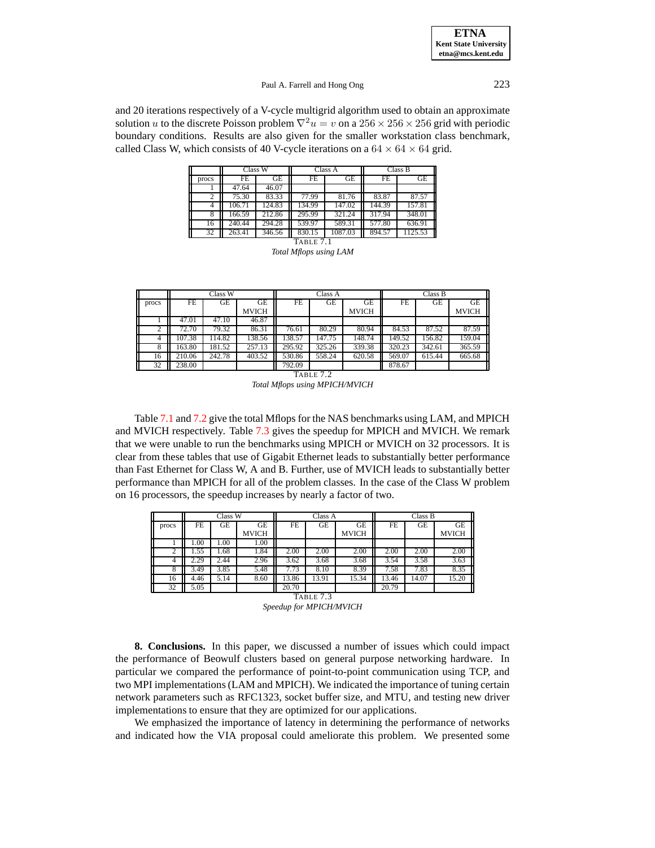**ETNA Kent State University etna@mcs.kent.edu**

## Paul A. Farrell and Hong Ong 223

and 20 iterations respectively of a V-cycle multigrid algorithm used to obtain an approximate solution u to the discrete Poisson problem  $\nabla^2 u = v$  on a  $256 \times 256 \times 256$  grid with periodic boundary conditions. Results are also given for the smaller workstation class benchmark, called Class W, which consists of 40 V-cycle iterations on a  $64 \times 64 \times 64$  grid.

|           | Class W |           |        | Class A | Class B |         |  |  |  |
|-----------|---------|-----------|--------|---------|---------|---------|--|--|--|
| procs     | FE      | <b>GE</b> | FE     | GЕ      | FE      | GE      |  |  |  |
|           | 47.64   | 46.07     |        |         |         |         |  |  |  |
| 2         | 75.30   | 83.33     | 77.99  | 81.76   | 83.87   | 87.57   |  |  |  |
| 4         | 106.71  | 124.83    | 134.99 | 147.02  | 144.39  | 157.81  |  |  |  |
| 8         | 166.59  | 212.86    | 295.99 | 321.24  | 317.94  | 348.01  |  |  |  |
| 16        | 240.44  | 294.28    | 539.97 | 589.31  | 577.80  | 636.91  |  |  |  |
| 32        | 263.41  | 346.56    | 830.15 | 1087.03 | 894.57  | 1125.53 |  |  |  |
| Table 7.1 |         |           |        |         |         |         |  |  |  |

|  | Total Mflops using LAM |  |
|--|------------------------|--|
|  |                        |  |

<span id="page-12-0"></span>

|           | Class W |        |              | Class A |        |              | Class B |        |              |
|-----------|---------|--------|--------------|---------|--------|--------------|---------|--------|--------------|
| procs     | FE      | GE     | GE           | FE      | GЕ     | GЕ           | FE      | GE     | GE           |
|           |         |        | <b>MVICH</b> |         |        | <b>MVICH</b> |         |        | <b>MVICH</b> |
|           | 47.01   | 47.10  | 46.87        |         |        |              |         |        |              |
|           | 72.70   | 79.32  | 86.31        | 76.61   | 80.29  | 80.94        | 84.53   | 87.52  | 87.59        |
| 4         | 107.38  | 114.82 | 138.56       | 138.57  | 147.75 | 148.74       | 149.52  | 156.82 | 159.04       |
| 8         | 163.80  | 181.52 | 257.13       | 295.92  | 325.26 | 339.38       | 320.23  | 342.61 | 365.59       |
| 16        | 210.06  | 242.78 | 403.52       | 530.86  | 558.24 | 620.58       | 569.07  | 615.44 | 665.68       |
| 32        | 238.00  |        |              | 792.09  |        |              | 878.67  |        |              |
| TABLE 7.2 |         |        |              |         |        |              |         |        |              |

*Total Mflops using MPICH/MVICH*

<span id="page-12-1"></span>Table [7.1](#page-12-0) and [7.2](#page-12-1) give the total Mflops for the NAS benchmarks using LAM, and MPICH and MVICH respectively. Table [7.3](#page-12-2) gives the speedup for MPICH and MVICH. We remark that we were unable to run the benchmarks using MPICH or MVICH on 32 processors. It is clear from these tables that use of Gigabit Ethernet leads to substantially better performance than Fast Ethernet for Class W, A and B. Further, use of MVICH leads to substantially better performance than MPICH for all of the problem classes. In the case of the Class W problem on 16 processors, the speedup increases by nearly a factor of two.

|       | Class W |      |                    | Class A           |       |                    | Class B |       |                           |
|-------|---------|------|--------------------|-------------------|-------|--------------------|---------|-------|---------------------------|
| procs | FE      | GЕ   | GE<br><b>MVICH</b> | FE                | GE    | GE<br><b>MVICH</b> | FE      | GE    | <b>GE</b><br><b>MVICH</b> |
|       | 1.00    | 1.00 | 1.00               |                   |       |                    |         |       |                           |
|       | 1.55    | 1.68 | 1.84               | 2.00              | 2.00  | 2.00               | 2.00    | 2.00  | 2.00                      |
|       | 2.29    | 2.44 | 2.96               | 3.62              | 3.68  | 3.68               | 3.54    | 3.58  | 3.63                      |
|       | 3.49    | 3.85 | 5.48               | $7.\overline{73}$ | 8.10  | 8.39               | 7.58    | 7.83  | 8.35                      |
| 16    | 4.46    | 5.14 | 8.60               | 13.86             | 13.91 | 15.34              | 13.46   | 14.07 | 15.20                     |
| 32    | 5.05    |      |                    | 20.70             |       |                    | 20.79   |       |                           |

<span id="page-12-2"></span>TABLE 7.3 *Speedup for MPICH/MVICH*

**8. Conclusions.** In this paper, we discussed a number of issues which could impact the performance of Beowulf clusters based on general purpose networking hardware. In particular we compared the performance of point-to-point communication using TCP, and two MPI implementations (LAM and MPICH). We indicated the importance of tuning certain network parameters such as RFC1323, socket buffer size, and MTU, and testing new driver implementations to ensure that they are optimized for our applications.

We emphasized the importance of latency in determining the performance of networks and indicated how the VIA proposal could ameliorate this problem. We presented some